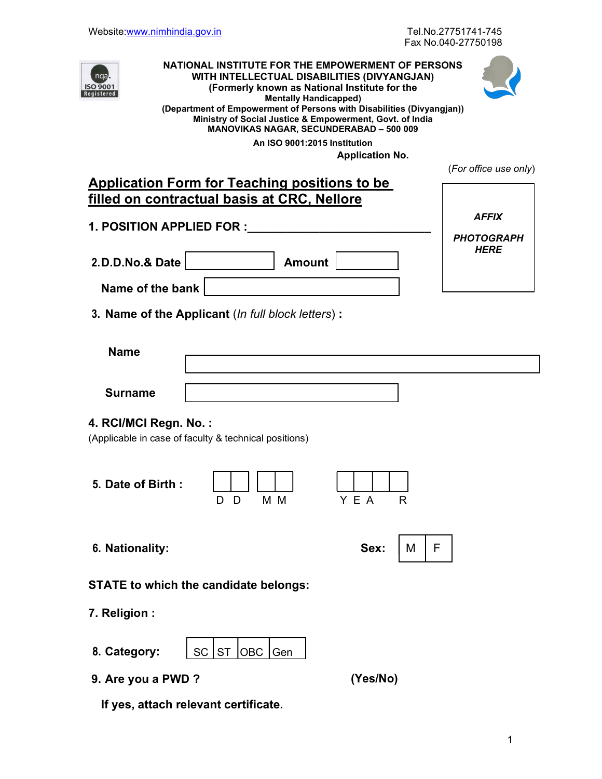Fax No.040-27750198



NATIONAL INSTITUTE FOR THE EMPOWERMENT OF PERSONS WITH INTELLECTUAL DISABILITIES (DIVYANGJAN) (Formerly known as National Institute for the וסווטווא (וויסווויט ון Comparistered) ואסטווא (Registered i (Department of Empowerment of Persons with Disabilities (Divyangjan)) Ministry of Social Justice & Empowerment, Govt. of India MANOVIKAS NAGAR, SECUNDERABAD – 500 009



An ISO 9001:2015 Institution

Application No.

(For office use only)

| filled on contractual basis at CRC, Nellore |                           |
|---------------------------------------------|---------------------------|
| <b>1. POSITION APPLIED FOR :</b>            | <b>AFFIX</b>              |
|                                             | <b>PHOTOGRAPH</b><br>HERE |
| 2.D.D.No.& Date<br><b>Amount</b>            |                           |
| Name of the bank $ $                        |                           |
|                                             |                           |

3. Name of the Applicant (In full block letters) :

Application Form for Teaching positions to be

| <b>Name</b>    |  |
|----------------|--|
|                |  |
|                |  |
| <b>Surname</b> |  |

## 4. RCI/MCI Regn. No. :

(Applicable in case of faculty & technical positions)

| 5. Date of Birth : |     |       |  |
|--------------------|-----|-------|--|
|                    | M M | Y F A |  |

6. Nationality:

| ٦r<br>ex: |  |  |
|-----------|--|--|
|-----------|--|--|

STATE to which the candidate belongs:

7. Religion :

- 
- 8. Category:  $|SC|ST|OBC|Gen$
- 9. Are you a PWD ? (Yes/No)

If yes, attach relevant certificate.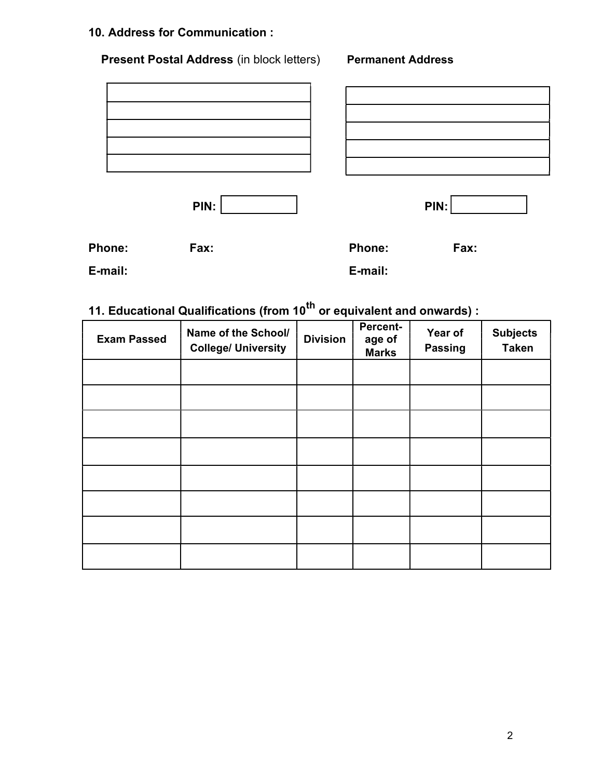## 10. Address for Communication :

|        | <b>Present Postal Address (in block letters)</b> | <b>Permanent Address</b> |      |  |
|--------|--------------------------------------------------|--------------------------|------|--|
|        |                                                  |                          |      |  |
|        |                                                  |                          |      |  |
|        |                                                  |                          |      |  |
|        |                                                  |                          |      |  |
|        |                                                  |                          |      |  |
|        | PIN:                                             |                          | PIN: |  |
| Phone: | Fax:                                             | Phone:                   | Fax: |  |

11. Educational Qualifications (from 10<sup>th</sup> or equivalent and onwards) :

E-mail: E-mail:

| <b>Exam Passed</b> | Name of the School/<br><b>College/ University</b> | <b>Division</b> | Percent-<br>age of<br><b>Marks</b> | Year of<br><b>Passing</b> | <b>Subjects</b><br><b>Taken</b> |  |
|--------------------|---------------------------------------------------|-----------------|------------------------------------|---------------------------|---------------------------------|--|
|                    |                                                   |                 |                                    |                           |                                 |  |
|                    |                                                   |                 |                                    |                           |                                 |  |
|                    |                                                   |                 |                                    |                           |                                 |  |
|                    |                                                   |                 |                                    |                           |                                 |  |
|                    |                                                   |                 |                                    |                           |                                 |  |
|                    |                                                   |                 |                                    |                           |                                 |  |
|                    |                                                   |                 |                                    |                           |                                 |  |
|                    |                                                   |                 |                                    |                           |                                 |  |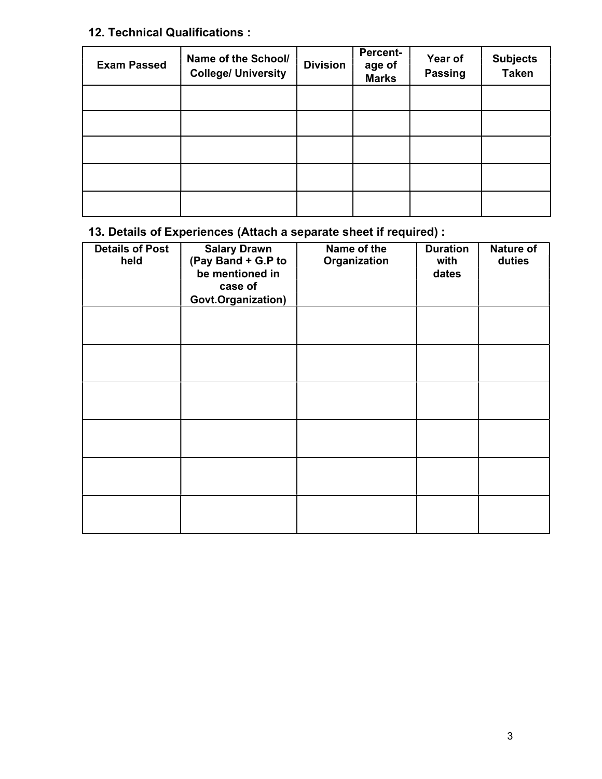## 12. Technical Qualifications :

| <b>Exam Passed</b> | Name of the School/<br><b>College/ University</b> | <b>Division</b> | Percent-<br>age of<br><b>Marks</b> | Year of<br><b>Passing</b> | <b>Subjects</b><br><b>Taken</b> |  |
|--------------------|---------------------------------------------------|-----------------|------------------------------------|---------------------------|---------------------------------|--|
|                    |                                                   |                 |                                    |                           |                                 |  |
|                    |                                                   |                 |                                    |                           |                                 |  |
|                    |                                                   |                 |                                    |                           |                                 |  |
|                    |                                                   |                 |                                    |                           |                                 |  |
|                    |                                                   |                 |                                    |                           |                                 |  |

## 13. Details of Experiences (Attach a separate sheet if required) :

| <b>Details of Post</b><br>held | <b>Salary Drawn</b><br>(Pay Band + G.P to<br>be mentioned in<br>case of<br>Govt.Organization) | Name of the<br>Organization | <b>Duration</b><br>with<br>dates | <b>Nature of</b><br>duties |  |
|--------------------------------|-----------------------------------------------------------------------------------------------|-----------------------------|----------------------------------|----------------------------|--|
|                                |                                                                                               |                             |                                  |                            |  |
|                                |                                                                                               |                             |                                  |                            |  |
|                                |                                                                                               |                             |                                  |                            |  |
|                                |                                                                                               |                             |                                  |                            |  |
|                                |                                                                                               |                             |                                  |                            |  |
|                                |                                                                                               |                             |                                  |                            |  |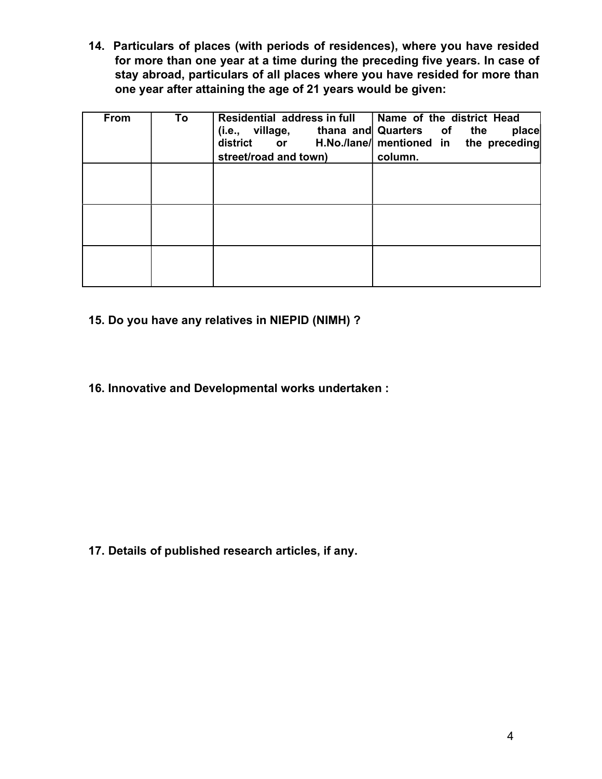14. Particulars of places (with periods of residences), where you have resided for more than one year at a time during the preceding five years. In case of stay abroad, particulars of all places where you have resided for more than one year after attaining the age of 21 years would be given:

| <b>From</b> | To | Residential address in full<br>(i.e., village, thana and Quarters of the<br>street/road and town) | Name of the district Head<br>place<br>district or H.No./lane/ mentioned in the preceding<br>column. |
|-------------|----|---------------------------------------------------------------------------------------------------|-----------------------------------------------------------------------------------------------------|
|             |    |                                                                                                   |                                                                                                     |
|             |    |                                                                                                   |                                                                                                     |
|             |    |                                                                                                   |                                                                                                     |

- 15. Do you have any relatives in NIEPID (NIMH) ?
- 16. Innovative and Developmental works undertaken :

17. Details of published research articles, if any.